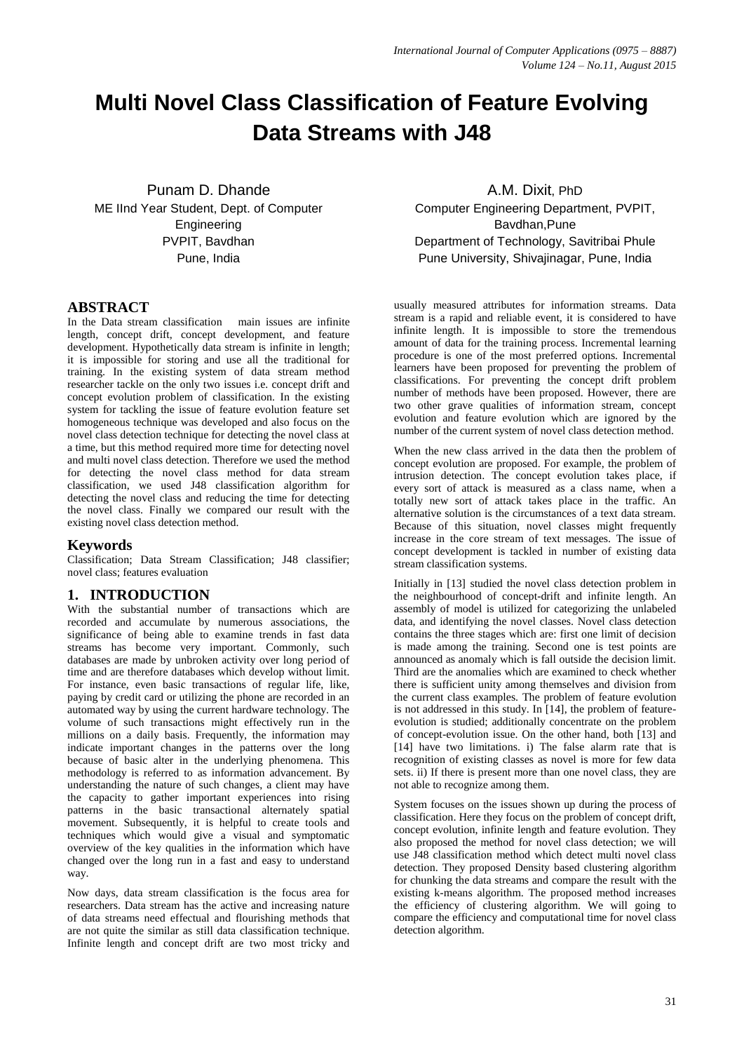# **Multi Novel Class Classification of Feature Evolving Data Streams with J48**

Punam D. Dhande ME IInd Year Student, Dept. of Computer Engineering PVPIT, Bavdhan Pune, India

# **ABSTRACT**

In the Data stream classification main issues are infinite length, concept drift, concept development, and feature development. Hypothetically data stream is infinite in length; it is impossible for storing and use all the traditional for training. In the existing system of data stream method researcher tackle on the only two issues i.e. concept drift and concept evolution problem of classification. In the existing system for tackling the issue of feature evolution feature set homogeneous technique was developed and also focus on the novel class detection technique for detecting the novel class at a time, but this method required more time for detecting novel and multi novel class detection. Therefore we used the method for detecting the novel class method for data stream classification, we used J48 classification algorithm for detecting the novel class and reducing the time for detecting the novel class. Finally we compared our result with the existing novel class detection method.

## **Keywords**

Classification; Data Stream Classification; J48 classifier; novel class; features evaluation

# **1. INTRODUCTION**

With the substantial number of transactions which are recorded and accumulate by numerous associations, the significance of being able to examine trends in fast data streams has become very important. Commonly, such databases are made by unbroken activity over long period of time and are therefore databases which develop without limit. For instance, even basic transactions of regular life, like, paying by credit card or utilizing the phone are recorded in an automated way by using the current hardware technology. The volume of such transactions might effectively run in the millions on a daily basis. Frequently, the information may indicate important changes in the patterns over the long because of basic alter in the underlying phenomena. This methodology is referred to as information advancement. By understanding the nature of such changes, a client may have the capacity to gather important experiences into rising patterns in the basic transactional alternately spatial movement. Subsequently, it is helpful to create tools and techniques which would give a visual and symptomatic overview of the key qualities in the information which have changed over the long run in a fast and easy to understand way.

Now days, data stream classification is the focus area for researchers. Data stream has the active and increasing nature of data streams need effectual and flourishing methods that are not quite the similar as still data classification technique. Infinite length and concept drift are two most tricky and

A.M. Dixit, PhD Computer Engineering Department, PVPIT, Bavdhan,Pune Department of Technology, Savitribai Phule Pune University, Shivajinagar, Pune, India

usually measured attributes for information streams. Data stream is a rapid and reliable event, it is considered to have infinite length. It is impossible to store the tremendous amount of data for the training process. Incremental learning procedure is one of the most preferred options. Incremental learners have been proposed for preventing the problem of classifications. For preventing the concept drift problem number of methods have been proposed. However, there are two other grave qualities of information stream, concept evolution and feature evolution which are ignored by the number of the current system of novel class detection method.

When the new class arrived in the data then the problem of concept evolution are proposed. For example, the problem of intrusion detection. The concept evolution takes place, if every sort of attack is measured as a class name, when a totally new sort of attack takes place in the traffic. An alternative solution is the circumstances of a text data stream. Because of this situation, novel classes might frequently increase in the core stream of text messages. The issue of concept development is tackled in number of existing data stream classification systems.

Initially in [13] studied the novel class detection problem in the neighbourhood of concept-drift and infinite length. An assembly of model is utilized for categorizing the unlabeled data, and identifying the novel classes. Novel class detection contains the three stages which are: first one limit of decision is made among the training. Second one is test points are announced as anomaly which is fall outside the decision limit. Third are the anomalies which are examined to check whether there is sufficient unity among themselves and division from the current class examples. The problem of feature evolution is not addressed in this study. In [14], the problem of featureevolution is studied; additionally concentrate on the problem of concept-evolution issue. On the other hand, both [13] and [14] have two limitations. i) The false alarm rate that is recognition of existing classes as novel is more for few data sets. ii) If there is present more than one novel class, they are not able to recognize among them.

System focuses on the issues shown up during the process of classification. Here they focus on the problem of concept drift, concept evolution, infinite length and feature evolution. They also proposed the method for novel class detection; we will use J48 classification method which detect multi novel class detection. They proposed Density based clustering algorithm for chunking the data streams and compare the result with the existing k-means algorithm. The proposed method increases the efficiency of clustering algorithm. We will going to compare the efficiency and computational time for novel class detection algorithm.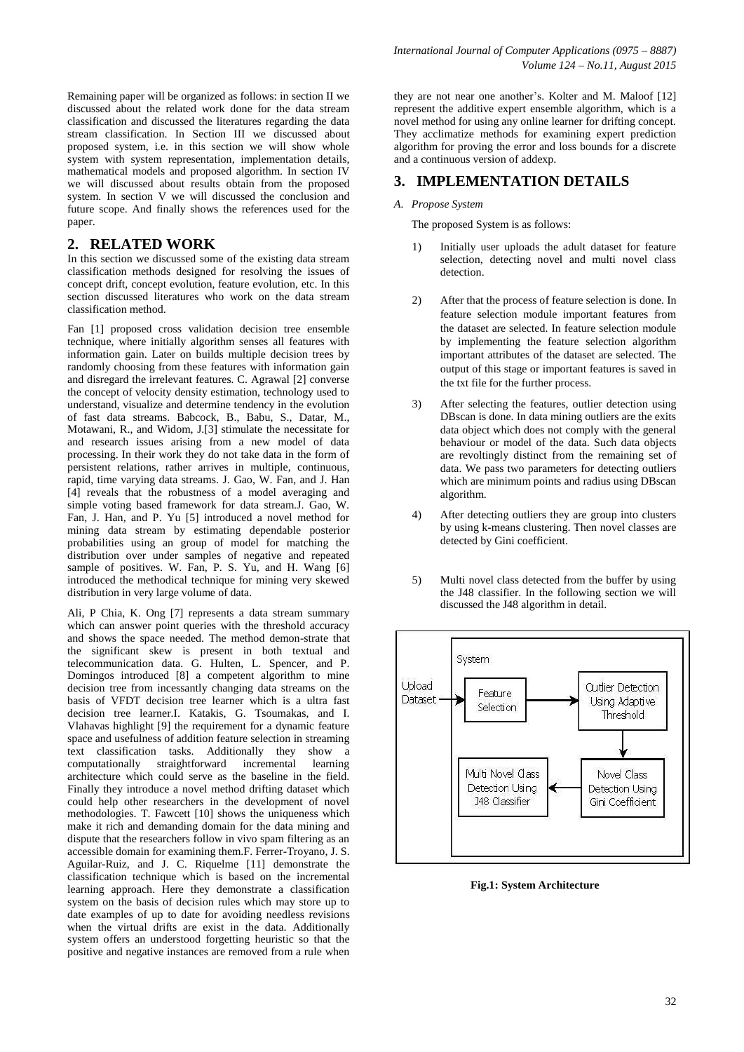Remaining paper will be organized as follows: in section II we discussed about the related work done for the data stream classification and discussed the literatures regarding the data stream classification. In Section III we discussed about proposed system, i.e. in this section we will show whole system with system representation, implementation details, mathematical models and proposed algorithm. In section IV we will discussed about results obtain from the proposed system. In section V we will discussed the conclusion and future scope. And finally shows the references used for the paper.

# **2. RELATED WORK**

In this section we discussed some of the existing data stream classification methods designed for resolving the issues of concept drift, concept evolution, feature evolution, etc. In this section discussed literatures who work on the data stream classification method.

Fan [1] proposed cross validation decision tree ensemble technique, where initially algorithm senses all features with information gain. Later on builds multiple decision trees by randomly choosing from these features with information gain and disregard the irrelevant features. C. Agrawal [2] converse the concept of velocity density estimation, technology used to understand, visualize and determine tendency in the evolution of fast data streams. Babcock, B., Babu, S., Datar, M., Motawani, R., and Widom, J.[3] stimulate the necessitate for and research issues arising from a new model of data processing. In their work they do not take data in the form of persistent relations, rather arrives in multiple, continuous, rapid, time varying data streams. J. Gao, W. Fan, and J. Han [4] reveals that the robustness of a model averaging and simple voting based framework for data stream.J. Gao, W. Fan, J. Han, and P. Yu [5] introduced a novel method for mining data stream by estimating dependable posterior probabilities using an group of model for matching the distribution over under samples of negative and repeated sample of positives. W. Fan, P. S. Yu, and H. Wang [6] introduced the methodical technique for mining very skewed distribution in very large volume of data.

Ali, P Chia, K. Ong [7] represents a data stream summary which can answer point queries with the threshold accuracy and shows the space needed. The method demon-strate that the significant skew is present in both textual and telecommunication data. G. Hulten, L. Spencer, and P. Domingos introduced [8] a competent algorithm to mine decision tree from incessantly changing data streams on the basis of VFDT decision tree learner which is a ultra fast decision tree learner.I. Katakis, G. Tsoumakas, and I. Vlahavas highlight [9] the requirement for a dynamic feature space and usefulness of addition feature selection in streaming text classification tasks. Additionally they show a computationally straightforward incremental learning architecture which could serve as the baseline in the field. Finally they introduce a novel method drifting dataset which could help other researchers in the development of novel methodologies. T. Fawcett [10] shows the uniqueness which make it rich and demanding domain for the data mining and dispute that the researchers follow in vivo spam filtering as an accessible domain for examining them.F. Ferrer-Troyano, J. S. Aguilar-Ruiz, and J. C. Riquelme [11] demonstrate the classification technique which is based on the incremental learning approach. Here they demonstrate a classification system on the basis of decision rules which may store up to date examples of up to date for avoiding needless revisions when the virtual drifts are exist in the data. Additionally system offers an understood forgetting heuristic so that the positive and negative instances are removed from a rule when

they are not near one another's. Kolter and M. Maloof [12] represent the additive expert ensemble algorithm, which is a novel method for using any online learner for drifting concept. They acclimatize methods for examining expert prediction algorithm for proving the error and loss bounds for a discrete and a continuous version of addexp.

# **3. IMPLEMENTATION DETAILS**

#### *A. Propose System*

The proposed System is as follows:

- 1) Initially user uploads the adult dataset for feature selection, detecting novel and multi novel class detection.
- 2) After that the process of feature selection is done. In feature selection module important features from the dataset are selected. In feature selection module by implementing the feature selection algorithm important attributes of the dataset are selected. The output of this stage or important features is saved in the txt file for the further process.
- 3) After selecting the features, outlier detection using DBscan is done. In data mining outliers are the exits data object which does not comply with the general behaviour or model of the data. Such data objects are revoltingly distinct from the remaining set of data. We pass two parameters for detecting outliers which are minimum points and radius using DBscan algorithm.
- 4) After detecting outliers they are group into clusters by using k-means clustering. Then novel classes are detected by Gini coefficient.
- 5) Multi novel class detected from the buffer by using the J48 classifier. In the following section we will discussed the J48 algorithm in detail.



**Fig.1: System Architecture**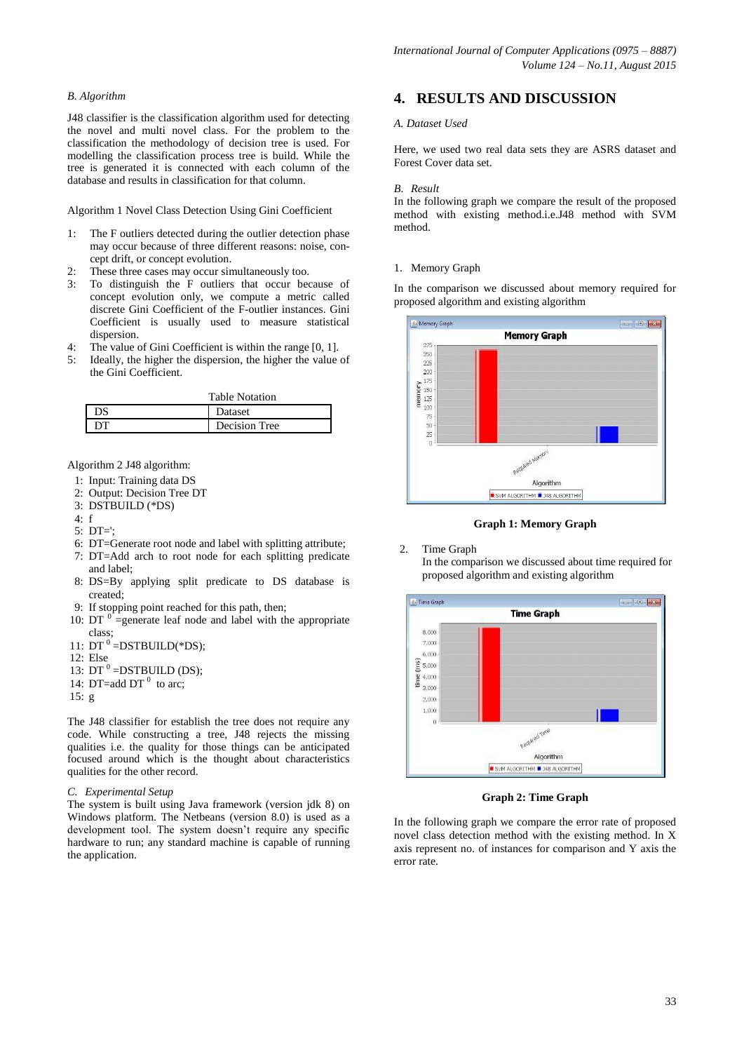## *B. Algorithm*

J48 classifier is the classification algorithm used for detecting the novel and multi novel class. For the problem to the classification the methodology of decision tree is used. For modelling the classification process tree is build. While the tree is generated it is connected with each column of the database and results in classification for that column.

Algorithm 1 Novel Class Detection Using Gini Coefficient

- 1: The F outliers detected during the outlier detection phase may occur because of three different reasons: noise, concept drift, or concept evolution.
- These three cases may occur simultaneously too.
- 3: To distinguish the F outliers that occur because of concept evolution only, we compute a metric called discrete Gini Coefficient of the F-outlier instances. Gini Coefficient is usually used to measure statistical dispersion.
- 4: The value of Gini Coefficient is within the range [0, 1].
- 5: Ideally, the higher the dispersion, the higher the value of the Gini Coefficient.

| <b>Table Notation</b> |               |
|-----------------------|---------------|
| Ж                     | Dataset       |
| DТ                    | Decision Tree |

Algorithm 2 J48 algorithm:

- 1: Input: Training data DS
- 2: Output: Decision Tree DT
- 3: DSTBUILD (\*DS)
- $4 \cdot f$
- 5: DT=';
- 6: DT=Generate root node and label with splitting attribute;
- 7: DT=Add arch to root node for each splitting predicate and label;
- 8: DS=By applying split predicate to DS database is created;
- 9: If stopping point reached for this path, then;
- 10:  $DT$ <sup>0</sup> = generate leaf node and label with the appropriate class;
- 11:  $DT^0$  =DSTBUILD(\*DS);
- 12: Else
- 13:  $DT^0$  =DSTBUILD (DS);
- 14: DT=add DT $<sup>0</sup>$  to arc;</sup>
- 15: g

The J48 classifier for establish the tree does not require any code. While constructing a tree, J48 rejects the missing qualities i.e. the quality for those things can be anticipated focused around which is the thought about characteristics qualities for the other record.

## *C. Experimental Setup*

The system is built using Java framework (version jdk 8) on Windows platform. The Netbeans (version 8.0) is used as a development tool. The system doesn't require any specific hardware to run; any standard machine is capable of running the application.

# **4. RESULTS AND DISCUSSION**

## *A. Dataset Used*

Here, we used two real data sets they are ASRS dataset and Forest Cover data set.

#### *B. Result*

In the following graph we compare the result of the proposed method with existing method.i.e.J48 method with SVM method.

#### 1. Memory Graph

In the comparison we discussed about memory required for proposed algorithm and existing algorithm



**Graph 1: Memory Graph**

2. Time Graph

In the comparison we discussed about time required for proposed algorithm and existing algorithm



**Graph 2: Time Graph**

In the following graph we compare the error rate of proposed novel class detection method with the existing method. In X axis represent no. of instances for comparison and Y axis the error rate.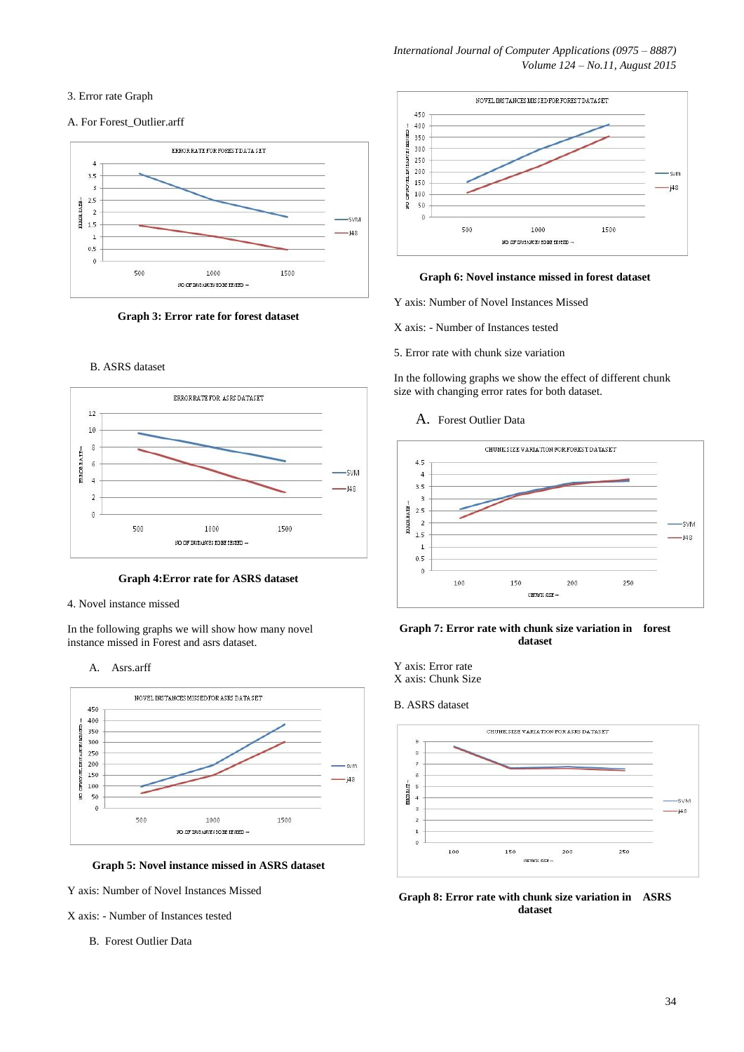## 3. Error rate Graph

## A. For Forest\_Outlier.arff





### B. ASRS dataset



#### **Graph 4:Error rate for ASRS dataset**

#### 4. Novel instance missed

In the following graphs we will show how many novel instance missed in Forest and asrs dataset.

#### A. Asrs.arff





Y axis: Number of Novel Instances Missed

X axis: - Number of Instances tested

B. Forest Outlier Data



## **Graph 6: Novel instance missed in forest dataset**

Y axis: Number of Novel Instances Missed

X axis: - Number of Instances tested

5. Error rate with chunk size variation

In the following graphs we show the effect of different chunk size with changing error rates for both dataset.

#### A. Forest Outlier Data



## **Graph 7: Error rate with chunk size variation in forest dataset**

# B. ASRS dataset



**Graph 8: Error rate with chunk size variation in ASRS dataset**

Y axis: Error rate X axis: Chunk Size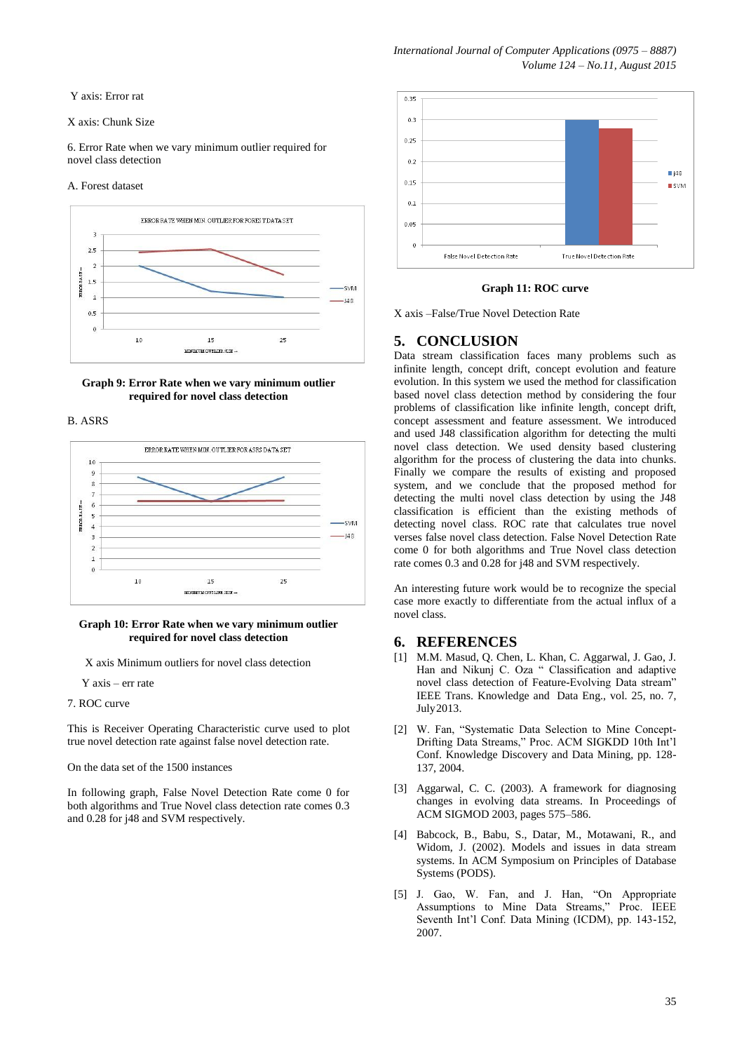Y axis: Error rat

#### X axis: Chunk Size

6. Error Rate when we vary minimum outlier required for novel class detection

#### A. Forest dataset





## B. ASRS



#### **Graph 10: Error Rate when we vary minimum outlier required for novel class detection**

X axis Minimum outliers for novel class detection

Y axis – err rate

7. ROC curve

This is Receiver Operating Characteristic curve used to plot true novel detection rate against false novel detection rate.

On the data set of the 1500 instances

In following graph, False Novel Detection Rate come 0 for both algorithms and True Novel class detection rate comes 0.3 and 0.28 for j48 and SVM respectively.



#### **Graph 11: ROC curve**

X axis –False/True Novel Detection Rate

# **5. CONCLUSION**

Data stream classification faces many problems such as infinite length, concept drift, concept evolution and feature evolution. In this system we used the method for classification based novel class detection method by considering the four problems of classification like infinite length, concept drift, concept assessment and feature assessment. We introduced and used J48 classification algorithm for detecting the multi novel class detection. We used density based clustering algorithm for the process of clustering the data into chunks. Finally we compare the results of existing and proposed system, and we conclude that the proposed method for detecting the multi novel class detection by using the J48 classification is efficient than the existing methods of detecting novel class. ROC rate that calculates true novel verses false novel class detection. False Novel Detection Rate come 0 for both algorithms and True Novel class detection rate comes 0.3 and 0.28 for j48 and SVM respectively.

An interesting future work would be to recognize the special case more exactly to differentiate from the actual influx of a novel class.

# **6. REFERENCES**

- [1] M.M. Masud, Q. Chen, L. Khan, C. Aggarwal, J. Gao, J. Han and Nikunj C. Oza " Classification and adaptive novel class detection of Feature-Evolving Data stream" IEEE Trans. Knowledge and Data Eng., vol. 25, no. 7, July2013.
- [2] W. Fan, "Systematic Data Selection to Mine Concept-Drifting Data Streams," Proc. ACM SIGKDD 10th Int'l Conf. Knowledge Discovery and Data Mining, pp. 128- 137, 2004.
- [3] Aggarwal, C. C. (2003). A framework for diagnosing changes in evolving data streams. In Proceedings of ACM SIGMOD 2003, pages 575–586.
- [4] Babcock, B., Babu, S., Datar, M., Motawani, R., and Widom, J. (2002). Models and issues in data stream systems. In ACM Symposium on Principles of Database Systems (PODS).
- [5] J. Gao, W. Fan, and J. Han, "On Appropriate Assumptions to Mine Data Streams," Proc. IEEE Seventh Int'l Conf. Data Mining (ICDM), pp. 143-152, 2007.